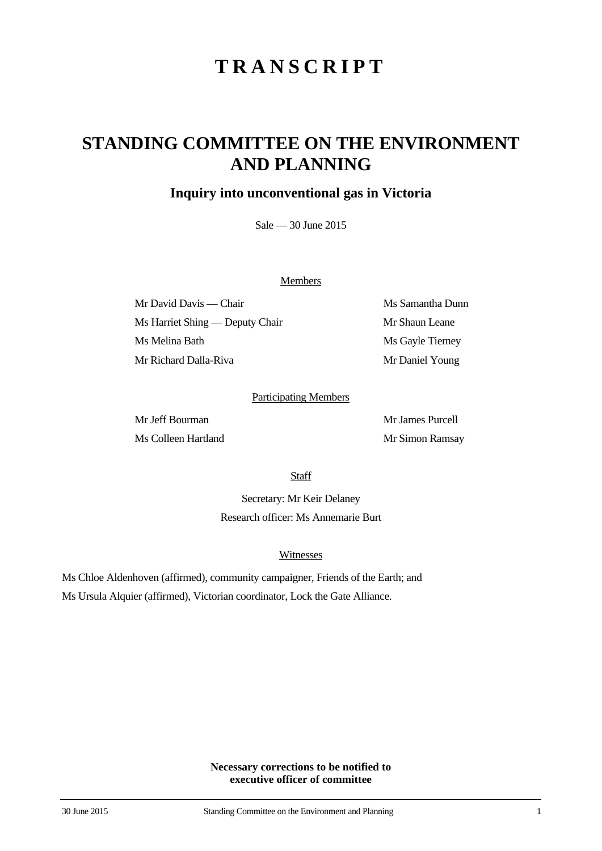# **TRANSCRIPT**

## **STANDING COMMITTEE ON THE ENVIRONMENT AND PLANNING**

### **Inquiry into unconventional gas in Victoria**

Sale — 30 June 2015

#### **Members**

Mr David Davis — Chair Ms Samantha Dunn Ms Harriet Shing — Deputy Chair Mr Shaun Leane Ms Melina Bath Ms Gayle Tierney Mr Richard Dalla-Riva Mr Daniel Young

#### Participating Members

Mr Jeff Bourman Mr James Purcell Ms Colleen Hartland Mr Simon Ramsay

**Staff** 

Secretary: Mr Keir Delaney Research officer: Ms Annemarie Burt

#### Witnesses

Ms Chloe Aldenhoven (affirmed), community campaigner, Friends of the Earth; and Ms Ursula Alquier (affirmed), Victorian coordinator, Lock the Gate Alliance.

> **Necessary corrections to be notified to executive officer of committee**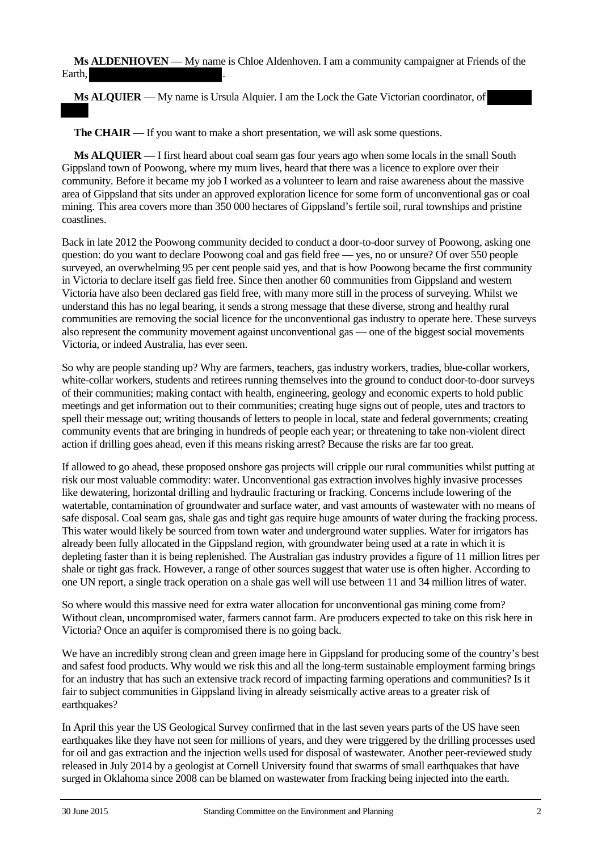**Ms ALDENHOVEN** — My name is Chloe Aldenhoven. I am a community campaigner at Friends of the Earth.

**Ms ALQUIER** — My name is Ursula Alquier. I am the Lock the Gate Victorian coordinator, of

**The CHAIR** — If you want to make a short presentation, we will ask some questions.

**Ms ALQUIER** — I first heard about coal seam gas four years ago when some locals in the small South Gippsland town of Poowong, where my mum lives, heard that there was a licence to explore over their community. Before it became my job I worked as a volunteer to learn and raise awareness about the massive area of Gippsland that sits under an approved exploration licence for some form of unconventional gas or coal mining. This area covers more than 350 000 hectares of Gippsland's fertile soil, rural townships and pristine coastlines.

Back in late 2012 the Poowong community decided to conduct a door-to-door survey of Poowong, asking one question: do you want to declare Poowong coal and gas field free — yes, no or unsure? Of over 550 people surveyed, an overwhelming 95 per cent people said yes, and that is how Poowong became the first community in Victoria to declare itself gas field free. Since then another 60 communities from Gippsland and western Victoria have also been declared gas field free, with many more still in the process of surveying. Whilst we understand this has no legal bearing, it sends a strong message that these diverse, strong and healthy rural communities are removing the social licence for the unconventional gas industry to operate here. These surveys also represent the community movement against unconventional gas — one of the biggest social movements Victoria, or indeed Australia, has ever seen.

So why are people standing up? Why are farmers, teachers, gas industry workers, tradies, blue-collar workers, white-collar workers, students and retirees running themselves into the ground to conduct door-to-door surveys of their communities; making contact with health, engineering, geology and economic experts to hold public meetings and get information out to their communities; creating huge signs out of people, utes and tractors to spell their message out; writing thousands of letters to people in local, state and federal governments; creating community events that are bringing in hundreds of people each year; or threatening to take non-violent direct action if drilling goes ahead, even if this means risking arrest? Because the risks are far too great.

If allowed to go ahead, these proposed onshore gas projects will cripple our rural communities whilst putting at risk our most valuable commodity: water. Unconventional gas extraction involves highly invasive processes like dewatering, horizontal drilling and hydraulic fracturing or fracking. Concerns include lowering of the watertable, contamination of groundwater and surface water, and vast amounts of wastewater with no means of safe disposal. Coal seam gas, shale gas and tight gas require huge amounts of water during the fracking process. This water would likely be sourced from town water and underground water supplies. Water for irrigators has already been fully allocated in the Gippsland region, with groundwater being used at a rate in which it is depleting faster than it is being replenished. The Australian gas industry provides a figure of 11 million litres per shale or tight gas frack. However, a range of other sources suggest that water use is often higher. According to one UN report, a single track operation on a shale gas well will use between 11 and 34 million litres of water.

So where would this massive need for extra water allocation for unconventional gas mining come from? Without clean, uncompromised water, farmers cannot farm. Are producers expected to take on this risk here in Victoria? Once an aquifer is compromised there is no going back.

We have an incredibly strong clean and green image here in Gippsland for producing some of the country's best and safest food products. Why would we risk this and all the long-term sustainable employment farming brings for an industry that has such an extensive track record of impacting farming operations and communities? Is it fair to subject communities in Gippsland living in already seismically active areas to a greater risk of earthquakes?

In April this year the US Geological Survey confirmed that in the last seven years parts of the US have seen earthquakes like they have not seen for millions of years, and they were triggered by the drilling processes used for oil and gas extraction and the injection wells used for disposal of wastewater. Another peer-reviewed study released in July 2014 by a geologist at Cornell University found that swarms of small earthquakes that have surged in Oklahoma since 2008 can be blamed on wastewater from fracking being injected into the earth.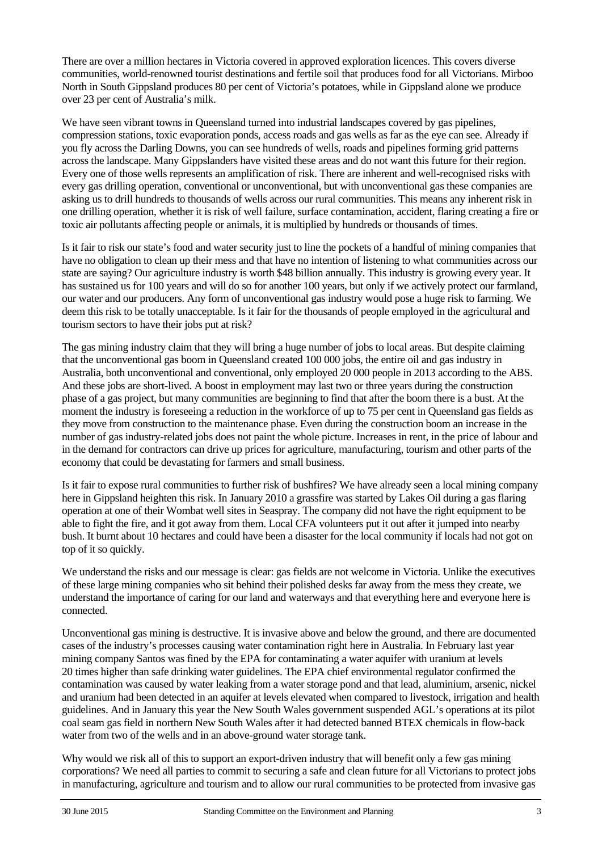There are over a million hectares in Victoria covered in approved exploration licences. This covers diverse communities, world-renowned tourist destinations and fertile soil that produces food for all Victorians. Mirboo North in South Gippsland produces 80 per cent of Victoria's potatoes, while in Gippsland alone we produce over 23 per cent of Australia's milk.

We have seen vibrant towns in Queensland turned into industrial landscapes covered by gas pipelines, compression stations, toxic evaporation ponds, access roads and gas wells as far as the eye can see. Already if you fly across the Darling Downs, you can see hundreds of wells, roads and pipelines forming grid patterns across the landscape. Many Gippslanders have visited these areas and do not want this future for their region. Every one of those wells represents an amplification of risk. There are inherent and well-recognised risks with every gas drilling operation, conventional or unconventional, but with unconventional gas these companies are asking us to drill hundreds to thousands of wells across our rural communities. This means any inherent risk in one drilling operation, whether it is risk of well failure, surface contamination, accident, flaring creating a fire or toxic air pollutants affecting people or animals, it is multiplied by hundreds or thousands of times.

Is it fair to risk our state's food and water security just to line the pockets of a handful of mining companies that have no obligation to clean up their mess and that have no intention of listening to what communities across our state are saying? Our agriculture industry is worth \$48 billion annually. This industry is growing every year. It has sustained us for 100 years and will do so for another 100 years, but only if we actively protect our farmland, our water and our producers. Any form of unconventional gas industry would pose a huge risk to farming. We deem this risk to be totally unacceptable. Is it fair for the thousands of people employed in the agricultural and tourism sectors to have their jobs put at risk?

The gas mining industry claim that they will bring a huge number of jobs to local areas. But despite claiming that the unconventional gas boom in Queensland created 100 000 jobs, the entire oil and gas industry in Australia, both unconventional and conventional, only employed 20 000 people in 2013 according to the ABS. And these jobs are short-lived. A boost in employment may last two or three years during the construction phase of a gas project, but many communities are beginning to find that after the boom there is a bust. At the moment the industry is foreseeing a reduction in the workforce of up to 75 per cent in Queensland gas fields as they move from construction to the maintenance phase. Even during the construction boom an increase in the number of gas industry-related jobs does not paint the whole picture. Increases in rent, in the price of labour and in the demand for contractors can drive up prices for agriculture, manufacturing, tourism and other parts of the economy that could be devastating for farmers and small business.

Is it fair to expose rural communities to further risk of bushfires? We have already seen a local mining company here in Gippsland heighten this risk. In January 2010 a grassfire was started by Lakes Oil during a gas flaring operation at one of their Wombat well sites in Seaspray. The company did not have the right equipment to be able to fight the fire, and it got away from them. Local CFA volunteers put it out after it jumped into nearby bush. It burnt about 10 hectares and could have been a disaster for the local community if locals had not got on top of it so quickly.

We understand the risks and our message is clear: gas fields are not welcome in Victoria. Unlike the executives of these large mining companies who sit behind their polished desks far away from the mess they create, we understand the importance of caring for our land and waterways and that everything here and everyone here is connected.

Unconventional gas mining is destructive. It is invasive above and below the ground, and there are documented cases of the industry's processes causing water contamination right here in Australia. In February last year mining company Santos was fined by the EPA for contaminating a water aquifer with uranium at levels 20 times higher than safe drinking water guidelines. The EPA chief environmental regulator confirmed the contamination was caused by water leaking from a water storage pond and that lead, aluminium, arsenic, nickel and uranium had been detected in an aquifer at levels elevated when compared to livestock, irrigation and health guidelines. And in January this year the New South Wales government suspended AGL's operations at its pilot coal seam gas field in northern New South Wales after it had detected banned BTEX chemicals in flow-back water from two of the wells and in an above-ground water storage tank.

Why would we risk all of this to support an export-driven industry that will benefit only a few gas mining corporations? We need all parties to commit to securing a safe and clean future for all Victorians to protect jobs in manufacturing, agriculture and tourism and to allow our rural communities to be protected from invasive gas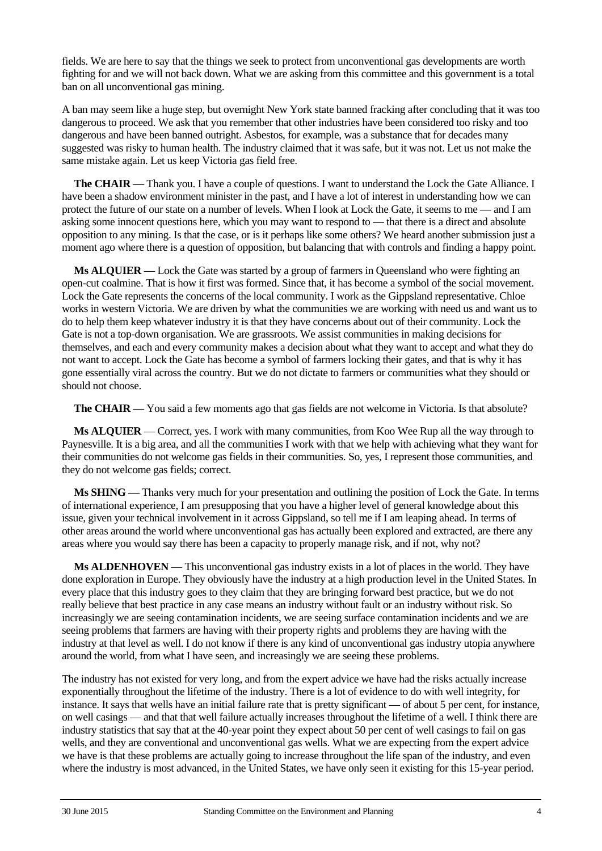fields. We are here to say that the things we seek to protect from unconventional gas developments are worth fighting for and we will not back down. What we are asking from this committee and this government is a total ban on all unconventional gas mining.

A ban may seem like a huge step, but overnight New York state banned fracking after concluding that it was too dangerous to proceed. We ask that you remember that other industries have been considered too risky and too dangerous and have been banned outright. Asbestos, for example, was a substance that for decades many suggested was risky to human health. The industry claimed that it was safe, but it was not. Let us not make the same mistake again. Let us keep Victoria gas field free.

**The CHAIR** — Thank you. I have a couple of questions. I want to understand the Lock the Gate Alliance. I have been a shadow environment minister in the past, and I have a lot of interest in understanding how we can protect the future of our state on a number of levels. When I look at Lock the Gate, it seems to me — and I am asking some innocent questions here, which you may want to respond to — that there is a direct and absolute opposition to any mining. Is that the case, or is it perhaps like some others? We heard another submission just a moment ago where there is a question of opposition, but balancing that with controls and finding a happy point.

**Ms ALQUIER** — Lock the Gate was started by a group of farmers in Queensland who were fighting an open-cut coalmine. That is how it first was formed. Since that, it has become a symbol of the social movement. Lock the Gate represents the concerns of the local community. I work as the Gippsland representative. Chloe works in western Victoria. We are driven by what the communities we are working with need us and want us to do to help them keep whatever industry it is that they have concerns about out of their community. Lock the Gate is not a top-down organisation. We are grassroots. We assist communities in making decisions for themselves, and each and every community makes a decision about what they want to accept and what they do not want to accept. Lock the Gate has become a symbol of farmers locking their gates, and that is why it has gone essentially viral across the country. But we do not dictate to farmers or communities what they should or should not choose.

**The CHAIR** — You said a few moments ago that gas fields are not welcome in Victoria. Is that absolute?

**Ms ALQUIER** — Correct, yes. I work with many communities, from Koo Wee Rup all the way through to Paynesville. It is a big area, and all the communities I work with that we help with achieving what they want for their communities do not welcome gas fields in their communities. So, yes, I represent those communities, and they do not welcome gas fields; correct.

**Ms SHING** — Thanks very much for your presentation and outlining the position of Lock the Gate. In terms of international experience, I am presupposing that you have a higher level of general knowledge about this issue, given your technical involvement in it across Gippsland, so tell me if I am leaping ahead. In terms of other areas around the world where unconventional gas has actually been explored and extracted, are there any areas where you would say there has been a capacity to properly manage risk, and if not, why not?

**Ms ALDENHOVEN** — This unconventional gas industry exists in a lot of places in the world. They have done exploration in Europe. They obviously have the industry at a high production level in the United States. In every place that this industry goes to they claim that they are bringing forward best practice, but we do not really believe that best practice in any case means an industry without fault or an industry without risk. So increasingly we are seeing contamination incidents, we are seeing surface contamination incidents and we are seeing problems that farmers are having with their property rights and problems they are having with the industry at that level as well. I do not know if there is any kind of unconventional gas industry utopia anywhere around the world, from what I have seen, and increasingly we are seeing these problems.

The industry has not existed for very long, and from the expert advice we have had the risks actually increase exponentially throughout the lifetime of the industry. There is a lot of evidence to do with well integrity, for instance. It says that wells have an initial failure rate that is pretty significant — of about 5 per cent, for instance, on well casings — and that that well failure actually increases throughout the lifetime of a well. I think there are industry statistics that say that at the 40-year point they expect about 50 per cent of well casings to fail on gas wells, and they are conventional and unconventional gas wells. What we are expecting from the expert advice we have is that these problems are actually going to increase throughout the life span of the industry, and even where the industry is most advanced, in the United States, we have only seen it existing for this 15-year period.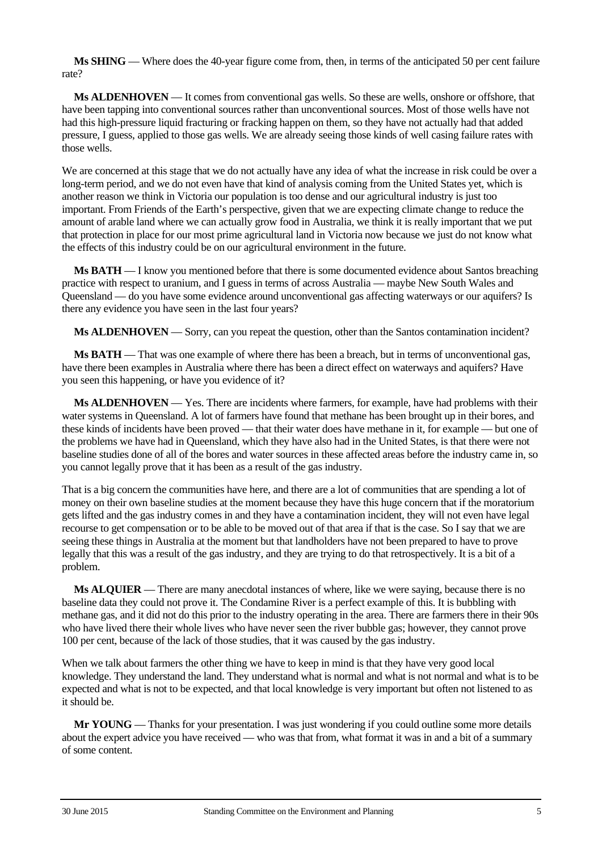**Ms SHING** — Where does the 40-year figure come from, then, in terms of the anticipated 50 per cent failure rate?

**Ms ALDENHOVEN** — It comes from conventional gas wells. So these are wells, onshore or offshore, that have been tapping into conventional sources rather than unconventional sources. Most of those wells have not had this high-pressure liquid fracturing or fracking happen on them, so they have not actually had that added pressure, I guess, applied to those gas wells. We are already seeing those kinds of well casing failure rates with those wells.

We are concerned at this stage that we do not actually have any idea of what the increase in risk could be over a long-term period, and we do not even have that kind of analysis coming from the United States yet, which is another reason we think in Victoria our population is too dense and our agricultural industry is just too important. From Friends of the Earth's perspective, given that we are expecting climate change to reduce the amount of arable land where we can actually grow food in Australia, we think it is really important that we put that protection in place for our most prime agricultural land in Victoria now because we just do not know what the effects of this industry could be on our agricultural environment in the future.

**Ms BATH** — I know you mentioned before that there is some documented evidence about Santos breaching practice with respect to uranium, and I guess in terms of across Australia — maybe New South Wales and Queensland — do you have some evidence around unconventional gas affecting waterways or our aquifers? Is there any evidence you have seen in the last four years?

**Ms ALDENHOVEN** — Sorry, can you repeat the question, other than the Santos contamination incident?

**Ms BATH** — That was one example of where there has been a breach, but in terms of unconventional gas, have there been examples in Australia where there has been a direct effect on waterways and aquifers? Have you seen this happening, or have you evidence of it?

**Ms ALDENHOVEN** — Yes. There are incidents where farmers, for example, have had problems with their water systems in Queensland. A lot of farmers have found that methane has been brought up in their bores, and these kinds of incidents have been proved — that their water does have methane in it, for example — but one of the problems we have had in Queensland, which they have also had in the United States, is that there were not baseline studies done of all of the bores and water sources in these affected areas before the industry came in, so you cannot legally prove that it has been as a result of the gas industry.

That is a big concern the communities have here, and there are a lot of communities that are spending a lot of money on their own baseline studies at the moment because they have this huge concern that if the moratorium gets lifted and the gas industry comes in and they have a contamination incident, they will not even have legal recourse to get compensation or to be able to be moved out of that area if that is the case. So I say that we are seeing these things in Australia at the moment but that landholders have not been prepared to have to prove legally that this was a result of the gas industry, and they are trying to do that retrospectively. It is a bit of a problem.

**Ms ALQUIER** — There are many anecdotal instances of where, like we were saying, because there is no baseline data they could not prove it. The Condamine River is a perfect example of this. It is bubbling with methane gas, and it did not do this prior to the industry operating in the area. There are farmers there in their 90s who have lived there their whole lives who have never seen the river bubble gas; however, they cannot prove 100 per cent, because of the lack of those studies, that it was caused by the gas industry.

When we talk about farmers the other thing we have to keep in mind is that they have very good local knowledge. They understand the land. They understand what is normal and what is not normal and what is to be expected and what is not to be expected, and that local knowledge is very important but often not listened to as it should be.

**Mr YOUNG** — Thanks for your presentation. I was just wondering if you could outline some more details about the expert advice you have received — who was that from, what format it was in and a bit of a summary of some content.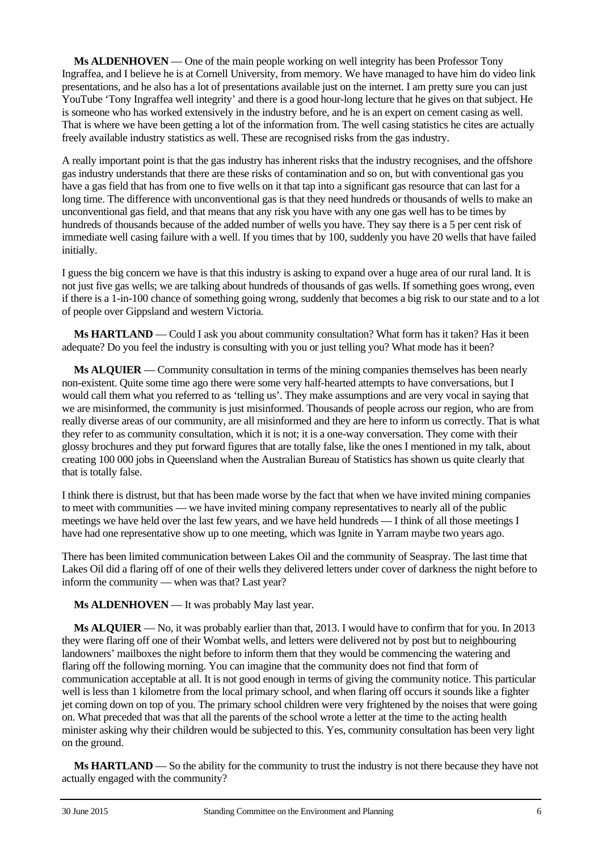**Ms ALDENHOVEN** — One of the main people working on well integrity has been Professor Tony Ingraffea, and I believe he is at Cornell University, from memory. We have managed to have him do video link presentations, and he also has a lot of presentations available just on the internet. I am pretty sure you can just YouTube 'Tony Ingraffea well integrity' and there is a good hour-long lecture that he gives on that subject. He is someone who has worked extensively in the industry before, and he is an expert on cement casing as well. That is where we have been getting a lot of the information from. The well casing statistics he cites are actually freely available industry statistics as well. These are recognised risks from the gas industry.

A really important point is that the gas industry has inherent risks that the industry recognises, and the offshore gas industry understands that there are these risks of contamination and so on, but with conventional gas you have a gas field that has from one to five wells on it that tap into a significant gas resource that can last for a long time. The difference with unconventional gas is that they need hundreds or thousands of wells to make an unconventional gas field, and that means that any risk you have with any one gas well has to be times by hundreds of thousands because of the added number of wells you have. They say there is a 5 per cent risk of immediate well casing failure with a well. If you times that by 100, suddenly you have 20 wells that have failed initially.

I guess the big concern we have is that this industry is asking to expand over a huge area of our rural land. It is not just five gas wells; we are talking about hundreds of thousands of gas wells. If something goes wrong, even if there is a 1-in-100 chance of something going wrong, suddenly that becomes a big risk to our state and to a lot of people over Gippsland and western Victoria.

**Ms HARTLAND** — Could I ask you about community consultation? What form has it taken? Has it been adequate? Do you feel the industry is consulting with you or just telling you? What mode has it been?

**Ms ALQUIER** — Community consultation in terms of the mining companies themselves has been nearly non-existent. Quite some time ago there were some very half-hearted attempts to have conversations, but I would call them what you referred to as 'telling us'. They make assumptions and are very vocal in saying that we are misinformed, the community is just misinformed. Thousands of people across our region, who are from really diverse areas of our community, are all misinformed and they are here to inform us correctly. That is what they refer to as community consultation, which it is not; it is a one-way conversation. They come with their glossy brochures and they put forward figures that are totally false, like the ones I mentioned in my talk, about creating 100 000 jobs in Queensland when the Australian Bureau of Statistics has shown us quite clearly that that is totally false.

I think there is distrust, but that has been made worse by the fact that when we have invited mining companies to meet with communities — we have invited mining company representatives to nearly all of the public meetings we have held over the last few years, and we have held hundreds — I think of all those meetings I have had one representative show up to one meeting, which was Ignite in Yarram maybe two years ago.

There has been limited communication between Lakes Oil and the community of Seaspray. The last time that Lakes Oil did a flaring off of one of their wells they delivered letters under cover of darkness the night before to inform the community — when was that? Last year?

**Ms ALDENHOVEN** — It was probably May last year.

**Ms ALQUIER** — No, it was probably earlier than that, 2013. I would have to confirm that for you. In 2013 they were flaring off one of their Wombat wells, and letters were delivered not by post but to neighbouring landowners' mailboxes the night before to inform them that they would be commencing the watering and flaring off the following morning. You can imagine that the community does not find that form of communication acceptable at all. It is not good enough in terms of giving the community notice. This particular well is less than 1 kilometre from the local primary school, and when flaring off occurs it sounds like a fighter jet coming down on top of you. The primary school children were very frightened by the noises that were going on. What preceded that was that all the parents of the school wrote a letter at the time to the acting health minister asking why their children would be subjected to this. Yes, community consultation has been very light on the ground.

**Ms HARTLAND** — So the ability for the community to trust the industry is not there because they have not actually engaged with the community?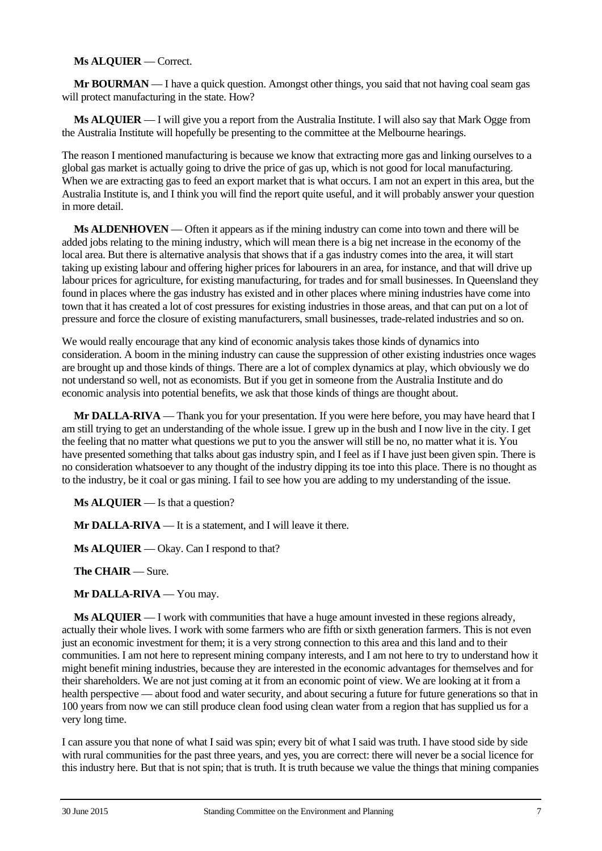#### **Ms ALQUIER** — Correct.

**Mr BOURMAN** — I have a quick question. Amongst other things, you said that not having coal seam gas will protect manufacturing in the state. How?

**Ms ALQUIER** — I will give you a report from the Australia Institute. I will also say that Mark Ogge from the Australia Institute will hopefully be presenting to the committee at the Melbourne hearings.

The reason I mentioned manufacturing is because we know that extracting more gas and linking ourselves to a global gas market is actually going to drive the price of gas up, which is not good for local manufacturing. When we are extracting gas to feed an export market that is what occurs. I am not an expert in this area, but the Australia Institute is, and I think you will find the report quite useful, and it will probably answer your question in more detail.

**Ms ALDENHOVEN** — Often it appears as if the mining industry can come into town and there will be added jobs relating to the mining industry, which will mean there is a big net increase in the economy of the local area. But there is alternative analysis that shows that if a gas industry comes into the area, it will start taking up existing labour and offering higher prices for labourers in an area, for instance, and that will drive up labour prices for agriculture, for existing manufacturing, for trades and for small businesses. In Queensland they found in places where the gas industry has existed and in other places where mining industries have come into town that it has created a lot of cost pressures for existing industries in those areas, and that can put on a lot of pressure and force the closure of existing manufacturers, small businesses, trade-related industries and so on.

We would really encourage that any kind of economic analysis takes those kinds of dynamics into consideration. A boom in the mining industry can cause the suppression of other existing industries once wages are brought up and those kinds of things. There are a lot of complex dynamics at play, which obviously we do not understand so well, not as economists. But if you get in someone from the Australia Institute and do economic analysis into potential benefits, we ask that those kinds of things are thought about.

**Mr DALLA-RIVA** — Thank you for your presentation. If you were here before, you may have heard that I am still trying to get an understanding of the whole issue. I grew up in the bush and I now live in the city. I get the feeling that no matter what questions we put to you the answer will still be no, no matter what it is. You have presented something that talks about gas industry spin, and I feel as if I have just been given spin. There is no consideration whatsoever to any thought of the industry dipping its toe into this place. There is no thought as to the industry, be it coal or gas mining. I fail to see how you are adding to my understanding of the issue.

**Ms ALQUIER** — Is that a question?

**Mr DALLA-RIVA** — It is a statement, and I will leave it there.

**Ms ALQUIER** — Okay. Can I respond to that?

**The CHAIR** — Sure.

**Mr DALLA-RIVA** — You may.

**Ms ALQUIER** — I work with communities that have a huge amount invested in these regions already, actually their whole lives. I work with some farmers who are fifth or sixth generation farmers. This is not even just an economic investment for them; it is a very strong connection to this area and this land and to their communities. I am not here to represent mining company interests, and I am not here to try to understand how it might benefit mining industries, because they are interested in the economic advantages for themselves and for their shareholders. We are not just coming at it from an economic point of view. We are looking at it from a health perspective — about food and water security, and about securing a future for future generations so that in 100 years from now we can still produce clean food using clean water from a region that has supplied us for a very long time.

I can assure you that none of what I said was spin; every bit of what I said was truth. I have stood side by side with rural communities for the past three years, and yes, you are correct: there will never be a social licence for this industry here. But that is not spin; that is truth. It is truth because we value the things that mining companies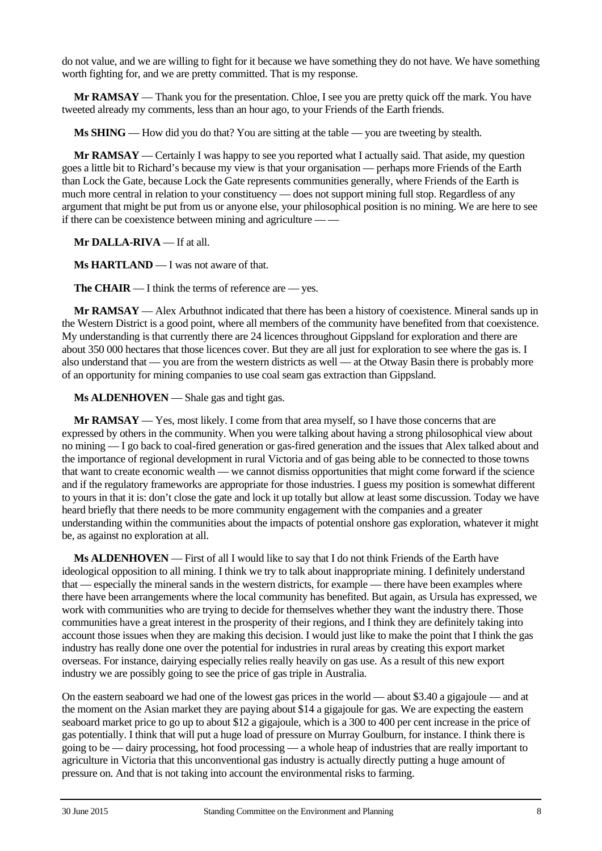do not value, and we are willing to fight for it because we have something they do not have. We have something worth fighting for, and we are pretty committed. That is my response.

**Mr RAMSAY** — Thank you for the presentation. Chloe, I see you are pretty quick off the mark. You have tweeted already my comments, less than an hour ago, to your Friends of the Earth friends.

**Ms SHING** — How did you do that? You are sitting at the table — you are tweeting by stealth.

**Mr RAMSAY** — Certainly I was happy to see you reported what I actually said. That aside, my question goes a little bit to Richard's because my view is that your organisation — perhaps more Friends of the Earth than Lock the Gate, because Lock the Gate represents communities generally, where Friends of the Earth is much more central in relation to your constituency — does not support mining full stop. Regardless of any argument that might be put from us or anyone else, your philosophical position is no mining. We are here to see if there can be coexistence between mining and agriculture — —

**Mr DALLA-RIVA** — If at all.

**Ms HARTLAND** — I was not aware of that.

**The CHAIR** — I think the terms of reference are — yes.

**Mr RAMSAY** — Alex Arbuthnot indicated that there has been a history of coexistence. Mineral sands up in the Western District is a good point, where all members of the community have benefited from that coexistence. My understanding is that currently there are 24 licences throughout Gippsland for exploration and there are about 350 000 hectares that those licences cover. But they are all just for exploration to see where the gas is. I also understand that — you are from the western districts as well — at the Otway Basin there is probably more of an opportunity for mining companies to use coal seam gas extraction than Gippsland.

**Ms ALDENHOVEN** — Shale gas and tight gas.

**Mr RAMSAY** — Yes, most likely. I come from that area myself, so I have those concerns that are expressed by others in the community. When you were talking about having a strong philosophical view about no mining — I go back to coal-fired generation or gas-fired generation and the issues that Alex talked about and the importance of regional development in rural Victoria and of gas being able to be connected to those towns that want to create economic wealth — we cannot dismiss opportunities that might come forward if the science and if the regulatory frameworks are appropriate for those industries. I guess my position is somewhat different to yours in that it is: don't close the gate and lock it up totally but allow at least some discussion. Today we have heard briefly that there needs to be more community engagement with the companies and a greater understanding within the communities about the impacts of potential onshore gas exploration, whatever it might be, as against no exploration at all.

**Ms ALDENHOVEN** — First of all I would like to say that I do not think Friends of the Earth have ideological opposition to all mining. I think we try to talk about inappropriate mining. I definitely understand that — especially the mineral sands in the western districts, for example — there have been examples where there have been arrangements where the local community has benefited. But again, as Ursula has expressed, we work with communities who are trying to decide for themselves whether they want the industry there. Those communities have a great interest in the prosperity of their regions, and I think they are definitely taking into account those issues when they are making this decision. I would just like to make the point that I think the gas industry has really done one over the potential for industries in rural areas by creating this export market overseas. For instance, dairying especially relies really heavily on gas use. As a result of this new export industry we are possibly going to see the price of gas triple in Australia.

On the eastern seaboard we had one of the lowest gas prices in the world — about \$3.40 a gigajoule — and at the moment on the Asian market they are paying about \$14 a gigajoule for gas. We are expecting the eastern seaboard market price to go up to about \$12 a gigajoule, which is a 300 to 400 per cent increase in the price of gas potentially. I think that will put a huge load of pressure on Murray Goulburn, for instance. I think there is going to be — dairy processing, hot food processing — a whole heap of industries that are really important to agriculture in Victoria that this unconventional gas industry is actually directly putting a huge amount of pressure on. And that is not taking into account the environmental risks to farming.